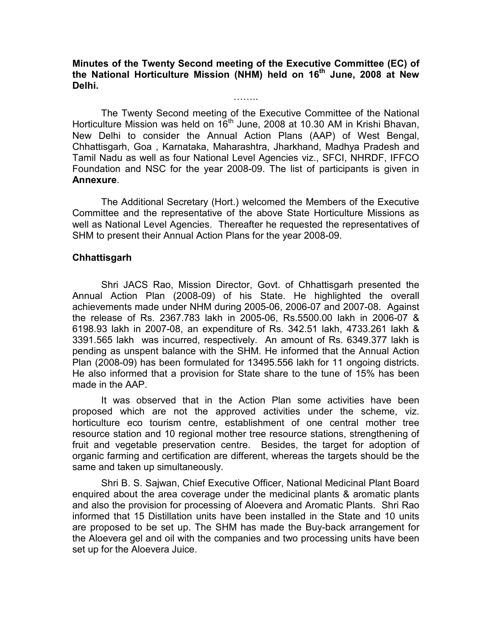Minutes of the Twenty Second meeting of the Executive Committee (EC) of the National Horticulture Mission (NHM) held on 16<sup>th</sup> June, 2008 at New Delhi.

……..

 The Twenty Second meeting of the Executive Committee of the National Horticulture Mission was held on 16th June, 2008 at 10.30 AM in Krishi Bhavan, New Delhi to consider the Annual Action Plans (AAP) of West Bengal, Chhattisgarh, Goa , Karnataka, Maharashtra, Jharkhand, Madhya Pradesh and Tamil Nadu as well as four National Level Agencies viz., SFCI, NHRDF, IFFCO Foundation and NSC for the year 2008-09. The list of participants is given in Annexure.

The Additional Secretary (Hort.) welcomed the Members of the Executive Committee and the representative of the above State Horticulture Missions as well as National Level Agencies. Thereafter he requested the representatives of SHM to present their Annual Action Plans for the year 2008-09.

## Chhattisgarh

Shri JACS Rao, Mission Director, Govt. of Chhattisgarh presented the Annual Action Plan (2008-09) of his State. He highlighted the overall achievements made under NHM during 2005-06, 2006-07 and 2007-08. Against the release of Rs. 2367.783 lakh in 2005-06, Rs.5500.00 lakh in 2006-07 & 6198.93 lakh in 2007-08, an expenditure of Rs. 342.51 lakh, 4733.261 lakh & 3391.565 lakh was incurred, respectively. An amount of Rs. 6349.377 lakh is pending as unspent balance with the SHM. He informed that the Annual Action Plan (2008-09) has been formulated for 13495.556 lakh for 11 ongoing districts. He also informed that a provision for State share to the tune of 15% has been made in the AAP.

It was observed that in the Action Plan some activities have been proposed which are not the approved activities under the scheme, viz. horticulture eco tourism centre, establishment of one central mother tree resource station and 10 regional mother tree resource stations, strengthening of fruit and vegetable preservation centre. Besides, the target for adoption of organic farming and certification are different, whereas the targets should be the same and taken up simultaneously.

Shri B. S. Sajwan, Chief Executive Officer, National Medicinal Plant Board enquired about the area coverage under the medicinal plants & aromatic plants and also the provision for processing of Aloevera and Aromatic Plants. Shri Rao informed that 15 Distillation units have been installed in the State and 10 units are proposed to be set up. The SHM has made the Buy-back arrangement for the Aloevera gel and oil with the companies and two processing units have been set up for the Aloevera Juice.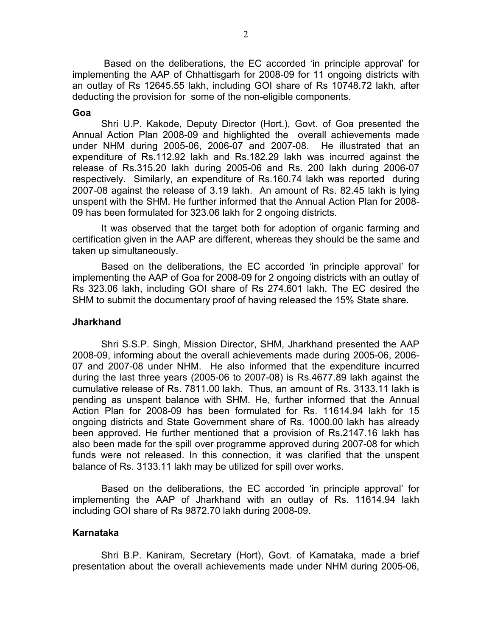Based on the deliberations, the EC accorded 'in principle approval' for implementing the AAP of Chhattisgarh for 2008-09 for 11 ongoing districts with an outlay of Rs 12645.55 lakh, including GOI share of Rs 10748.72 lakh, after deducting the provision for some of the non-eligible components.

#### Goa

Shri U.P. Kakode, Deputy Director (Hort.), Govt. of Goa presented the Annual Action Plan 2008-09 and highlighted the overall achievements made under NHM during 2005-06, 2006-07 and 2007-08. He illustrated that an expenditure of Rs.112.92 lakh and Rs.182.29 lakh was incurred against the release of Rs.315.20 lakh during 2005-06 and Rs. 200 lakh during 2006-07 respectively. Similarly, an expenditure of Rs.160.74 lakh was reported during 2007-08 against the release of 3.19 lakh. An amount of Rs. 82.45 lakh is lying unspent with the SHM. He further informed that the Annual Action Plan for 2008- 09 has been formulated for 323.06 lakh for 2 ongoing districts.

It was observed that the target both for adoption of organic farming and certification given in the AAP are different, whereas they should be the same and taken up simultaneously.

Based on the deliberations, the EC accorded 'in principle approval' for implementing the AAP of Goa for 2008-09 for 2 ongoing districts with an outlay of Rs 323.06 lakh, including GOI share of Rs 274.601 lakh. The EC desired the SHM to submit the documentary proof of having released the 15% State share.

#### Jharkhand

Shri S.S.P. Singh, Mission Director, SHM, Jharkhand presented the AAP 2008-09, informing about the overall achievements made during 2005-06, 2006- 07 and 2007-08 under NHM. He also informed that the expenditure incurred during the last three years (2005-06 to 2007-08) is Rs.4677.89 lakh against the cumulative release of Rs. 7811.00 lakh. Thus, an amount of Rs. 3133.11 lakh is pending as unspent balance with SHM. He, further informed that the Annual Action Plan for 2008-09 has been formulated for Rs. 11614.94 lakh for 15 ongoing districts and State Government share of Rs. 1000.00 lakh has already been approved. He further mentioned that a provision of Rs.2147.16 lakh has also been made for the spill over programme approved during 2007-08 for which funds were not released. In this connection, it was clarified that the unspent balance of Rs. 3133.11 lakh may be utilized for spill over works.

Based on the deliberations, the EC accorded 'in principle approval' for implementing the AAP of Jharkhand with an outlay of Rs. 11614.94 lakh including GOI share of Rs 9872.70 lakh during 2008-09.

#### Karnataka

Shri B.P. Kaniram, Secretary (Hort), Govt. of Karnataka, made a brief presentation about the overall achievements made under NHM during 2005-06,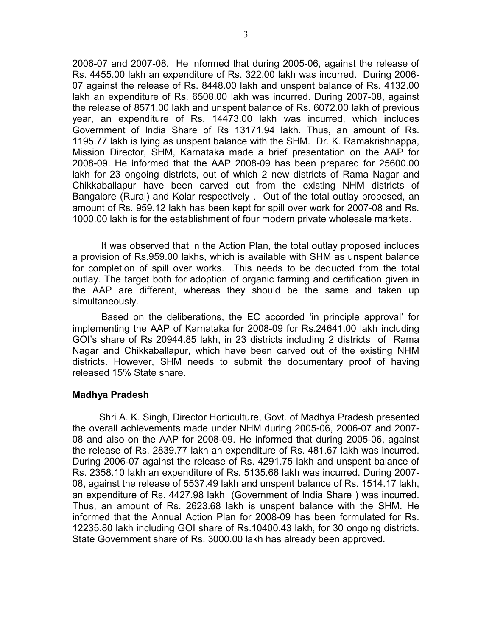2006-07 and 2007-08. He informed that during 2005-06, against the release of Rs. 4455.00 lakh an expenditure of Rs. 322.00 lakh was incurred. During 2006- 07 against the release of Rs. 8448.00 lakh and unspent balance of Rs. 4132.00 lakh an expenditure of Rs. 6508.00 lakh was incurred. During 2007-08, against the release of 8571.00 lakh and unspent balance of Rs. 6072.00 lakh of previous year, an expenditure of Rs. 14473.00 lakh was incurred, which includes Government of India Share of Rs 13171.94 lakh. Thus, an amount of Rs. 1195.77 lakh is lying as unspent balance with the SHM. Dr. K. Ramakrishnappa, Mission Director, SHM, Karnataka made a brief presentation on the AAP for 2008-09. He informed that the AAP 2008-09 has been prepared for 25600.00 lakh for 23 ongoing districts, out of which 2 new districts of Rama Nagar and Chikkaballapur have been carved out from the existing NHM districts of Bangalore (Rural) and Kolar respectively . Out of the total outlay proposed, an amount of Rs. 959.12 lakh has been kept for spill over work for 2007-08 and Rs. 1000.00 lakh is for the establishment of four modern private wholesale markets.

It was observed that in the Action Plan, the total outlay proposed includes a provision of Rs.959.00 lakhs, which is available with SHM as unspent balance for completion of spill over works. This needs to be deducted from the total outlay. The target both for adoption of organic farming and certification given in the AAP are different, whereas they should be the same and taken up simultaneously.

Based on the deliberations, the EC accorded 'in principle approval' for implementing the AAP of Karnataka for 2008-09 for Rs.24641.00 lakh including GOI's share of Rs 20944.85 lakh, in 23 districts including 2 districts of Rama Nagar and Chikkaballapur, which have been carved out of the existing NHM districts. However, SHM needs to submit the documentary proof of having released 15% State share.

# Madhya Pradesh

 Shri A. K. Singh, Director Horticulture, Govt. of Madhya Pradesh presented the overall achievements made under NHM during 2005-06, 2006-07 and 2007- 08 and also on the AAP for 2008-09. He informed that during 2005-06, against the release of Rs. 2839.77 lakh an expenditure of Rs. 481.67 lakh was incurred. During 2006-07 against the release of Rs. 4291.75 lakh and unspent balance of Rs. 2358.10 lakh an expenditure of Rs. 5135.68 lakh was incurred. During 2007- 08, against the release of 5537.49 lakh and unspent balance of Rs. 1514.17 lakh, an expenditure of Rs. 4427.98 lakh (Government of India Share ) was incurred. Thus, an amount of Rs. 2623.68 lakh is unspent balance with the SHM. He informed that the Annual Action Plan for 2008-09 has been formulated for Rs. 12235.80 lakh including GOI share of Rs.10400.43 lakh, for 30 ongoing districts. State Government share of Rs. 3000.00 lakh has already been approved.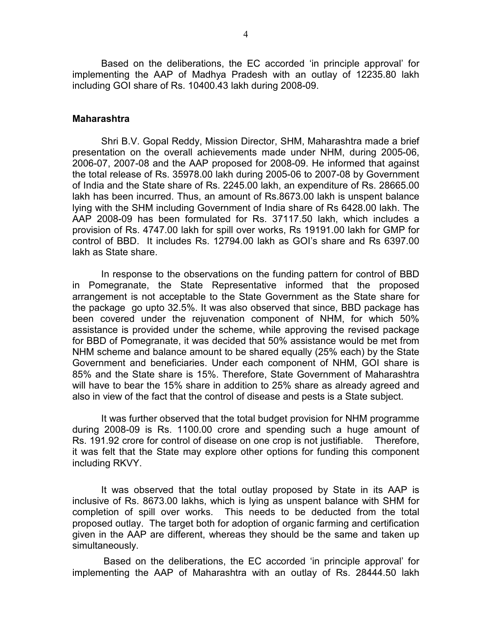Based on the deliberations, the EC accorded 'in principle approval' for implementing the AAP of Madhya Pradesh with an outlay of 12235.80 lakh including GOI share of Rs. 10400.43 lakh during 2008-09.

#### Maharashtra

Shri B.V. Gopal Reddy, Mission Director, SHM, Maharashtra made a brief presentation on the overall achievements made under NHM, during 2005-06, 2006-07, 2007-08 and the AAP proposed for 2008-09. He informed that against the total release of Rs. 35978.00 lakh during 2005-06 to 2007-08 by Government of India and the State share of Rs. 2245.00 lakh, an expenditure of Rs. 28665.00 lakh has been incurred. Thus, an amount of Rs.8673.00 lakh is unspent balance lying with the SHM including Government of India share of Rs 6428.00 lakh. The AAP 2008-09 has been formulated for Rs. 37117.50 lakh, which includes a provision of Rs. 4747.00 lakh for spill over works, Rs 19191.00 lakh for GMP for control of BBD. It includes Rs. 12794.00 lakh as GOI's share and Rs 6397.00 lakh as State share.

In response to the observations on the funding pattern for control of BBD in Pomegranate, the State Representative informed that the proposed arrangement is not acceptable to the State Government as the State share for the package go upto 32.5%. It was also observed that since, BBD package has been covered under the rejuvenation component of NHM, for which 50% assistance is provided under the scheme, while approving the revised package for BBD of Pomegranate, it was decided that 50% assistance would be met from NHM scheme and balance amount to be shared equally (25% each) by the State Government and beneficiaries. Under each component of NHM, GOI share is 85% and the State share is 15%. Therefore, State Government of Maharashtra will have to bear the 15% share in addition to 25% share as already agreed and also in view of the fact that the control of disease and pests is a State subject.

It was further observed that the total budget provision for NHM programme during 2008-09 is Rs. 1100.00 crore and spending such a huge amount of Rs. 191.92 crore for control of disease on one crop is not justifiable. Therefore, it was felt that the State may explore other options for funding this component including RKVY.

It was observed that the total outlay proposed by State in its AAP is inclusive of Rs. 8673.00 lakhs, which is lying as unspent balance with SHM for completion of spill over works. This needs to be deducted from the total proposed outlay. The target both for adoption of organic farming and certification given in the AAP are different, whereas they should be the same and taken up simultaneously.

Based on the deliberations, the EC accorded 'in principle approval' for implementing the AAP of Maharashtra with an outlay of Rs. 28444.50 lakh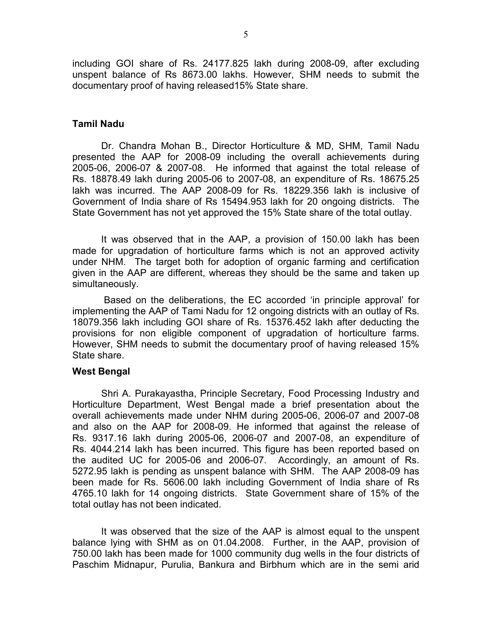including GOI share of Rs. 24177.825 lakh during 2008-09, after excluding unspent balance of Rs 8673.00 lakhs. However, SHM needs to submit the documentary proof of having released15% State share.

#### Tamil Nadu

Dr. Chandra Mohan B., Director Horticulture & MD, SHM, Tamil Nadu presented the AAP for 2008-09 including the overall achievements during 2005-06, 2006-07 & 2007-08. He informed that against the total release of Rs. 18878.49 lakh during 2005-06 to 2007-08, an expenditure of Rs. 18675.25 lakh was incurred. The AAP 2008-09 for Rs. 18229.356 lakh is inclusive of Government of India share of Rs 15494.953 lakh for 20 ongoing districts. The State Government has not yet approved the 15% State share of the total outlay.

It was observed that in the AAP, a provision of 150.00 lakh has been made for upgradation of horticulture farms which is not an approved activity under NHM. The target both for adoption of organic farming and certification given in the AAP are different, whereas they should be the same and taken up simultaneously.

 Based on the deliberations, the EC accorded 'in principle approval' for implementing the AAP of Tami Nadu for 12 ongoing districts with an outlay of Rs. 18079.356 lakh including GOI share of Rs. 15376.452 lakh after deducting the provisions for non eligible component of upgradation of horticulture farms. However, SHM needs to submit the documentary proof of having released 15% State share.

### West Bengal

Shri A. Purakayastha, Principle Secretary, Food Processing Industry and Horticulture Department, West Bengal made a brief presentation about the overall achievements made under NHM during 2005-06, 2006-07 and 2007-08 and also on the AAP for 2008-09. He informed that against the release of Rs. 9317.16 lakh during 2005-06, 2006-07 and 2007-08, an expenditure of Rs. 4044.214 lakh has been incurred. This figure has been reported based on the audited UC for 2005-06 and 2006-07. Accordingly, an amount of Rs. 5272.95 lakh is pending as unspent balance with SHM. The AAP 2008-09 has been made for Rs. 5606.00 lakh including Government of India share of Rs 4765.10 lakh for 14 ongoing districts. State Government share of 15% of the total outlay has not been indicated.

It was observed that the size of the AAP is almost equal to the unspent balance lying with SHM as on 01.04.2008. Further, in the AAP, provision of 750.00 lakh has been made for 1000 community dug wells in the four districts of Paschim Midnapur, Purulia, Bankura and Birbhum which are in the semi arid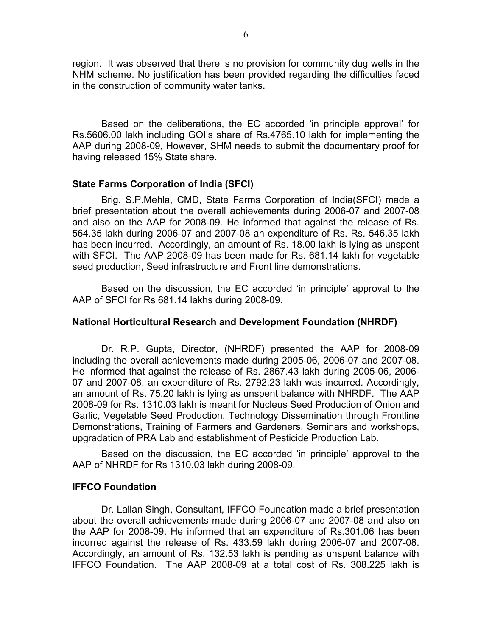region. It was observed that there is no provision for community dug wells in the NHM scheme. No justification has been provided regarding the difficulties faced in the construction of community water tanks.

Based on the deliberations, the EC accorded 'in principle approval' for Rs.5606.00 lakh including GOI's share of Rs.4765.10 lakh for implementing the AAP during 2008-09, However, SHM needs to submit the documentary proof for having released 15% State share.

## State Farms Corporation of India (SFCI)

Brig. S.P.Mehla, CMD, State Farms Corporation of India(SFCI) made a brief presentation about the overall achievements during 2006-07 and 2007-08 and also on the AAP for 2008-09. He informed that against the release of Rs. 564.35 lakh during 2006-07 and 2007-08 an expenditure of Rs. Rs. 546.35 lakh has been incurred. Accordingly, an amount of Rs. 18.00 lakh is lying as unspent with SFCI. The AAP 2008-09 has been made for Rs. 681.14 lakh for vegetable seed production, Seed infrastructure and Front line demonstrations.

Based on the discussion, the EC accorded 'in principle' approval to the AAP of SFCI for Rs 681.14 lakhs during 2008-09.

# National Horticultural Research and Development Foundation (NHRDF)

Dr. R.P. Gupta, Director, (NHRDF) presented the AAP for 2008-09 including the overall achievements made during 2005-06, 2006-07 and 2007-08. He informed that against the release of Rs. 2867.43 lakh during 2005-06, 2006- 07 and 2007-08, an expenditure of Rs. 2792.23 lakh was incurred. Accordingly, an amount of Rs. 75.20 lakh is lying as unspent balance with NHRDF. The AAP 2008-09 for Rs. 1310.03 lakh is meant for Nucleus Seed Production of Onion and Garlic, Vegetable Seed Production, Technology Dissemination through Frontline Demonstrations, Training of Farmers and Gardeners, Seminars and workshops, upgradation of PRA Lab and establishment of Pesticide Production Lab.

Based on the discussion, the EC accorded 'in principle' approval to the AAP of NHRDF for Rs 1310.03 lakh during 2008-09.

### IFFCO Foundation

Dr. Lallan Singh, Consultant, IFFCO Foundation made a brief presentation about the overall achievements made during 2006-07 and 2007-08 and also on the AAP for 2008-09. He informed that an expenditure of Rs.301.06 has been incurred against the release of Rs. 433.59 lakh during 2006-07 and 2007-08. Accordingly, an amount of Rs. 132.53 lakh is pending as unspent balance with IFFCO Foundation. The AAP 2008-09 at a total cost of Rs. 308.225 lakh is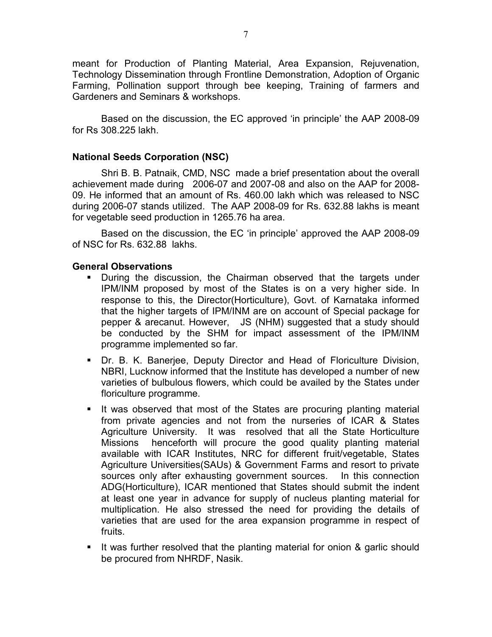meant for Production of Planting Material, Area Expansion, Rejuvenation, Technology Dissemination through Frontline Demonstration, Adoption of Organic Farming, Pollination support through bee keeping, Training of farmers and Gardeners and Seminars & workshops.

Based on the discussion, the EC approved 'in principle' the AAP 2008-09 for Rs 308.225 lakh.

# National Seeds Corporation (NSC)

Shri B. B. Patnaik, CMD, NSC made a brief presentation about the overall achievement made during 2006-07 and 2007-08 and also on the AAP for 2008- 09. He informed that an amount of Rs. 460.00 lakh which was released to NSC during 2006-07 stands utilized. The AAP 2008-09 for Rs. 632.88 lakhs is meant for vegetable seed production in 1265.76 ha area.

Based on the discussion, the EC 'in principle' approved the AAP 2008-09 of NSC for Rs. 632.88 lakhs.

### General Observations

- During the discussion, the Chairman observed that the targets under IPM/INM proposed by most of the States is on a very higher side. In response to this, the Director(Horticulture), Govt. of Karnataka informed that the higher targets of IPM/INM are on account of Special package for pepper & arecanut. However, JS (NHM) suggested that a study should be conducted by the SHM for impact assessment of the IPM/INM programme implemented so far.
- Dr. B. K. Banerjee, Deputy Director and Head of Floriculture Division, NBRI, Lucknow informed that the Institute has developed a number of new varieties of bulbulous flowers, which could be availed by the States under floriculture programme.
- It was observed that most of the States are procuring planting material from private agencies and not from the nurseries of ICAR & States Agriculture University. It was resolved that all the State Horticulture Missions henceforth will procure the good quality planting material available with ICAR Institutes, NRC for different fruit/vegetable, States Agriculture Universities(SAUs) & Government Farms and resort to private sources only after exhausting government sources. In this connection ADG(Horticulture), ICAR mentioned that States should submit the indent at least one year in advance for supply of nucleus planting material for multiplication. He also stressed the need for providing the details of varieties that are used for the area expansion programme in respect of fruits.
- If was further resolved that the planting material for onion & garlic should be procured from NHRDF, Nasik.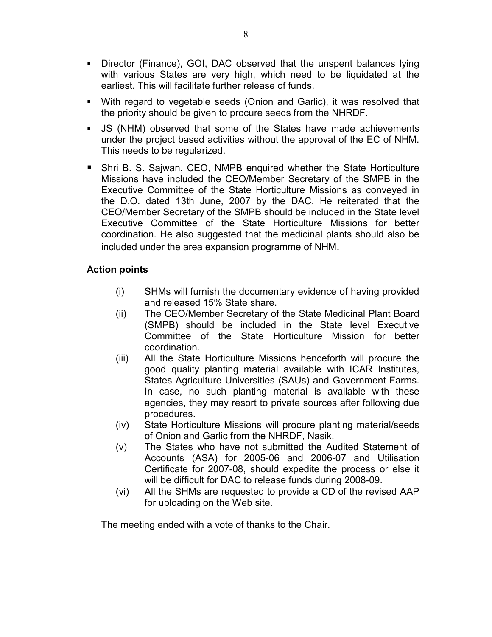- Director (Finance), GOI, DAC observed that the unspent balances lying with various States are very high, which need to be liquidated at the earliest. This will facilitate further release of funds.
- With regard to vegetable seeds (Onion and Garlic), it was resolved that the priority should be given to procure seeds from the NHRDF.
- JS (NHM) observed that some of the States have made achievements under the project based activities without the approval of the EC of NHM. This needs to be regularized.
- Shri B. S. Sajwan, CEO, NMPB enquired whether the State Horticulture Missions have included the CEO/Member Secretary of the SMPB in the Executive Committee of the State Horticulture Missions as conveyed in the D.O. dated 13th June, 2007 by the DAC. He reiterated that the CEO/Member Secretary of the SMPB should be included in the State level Executive Committee of the State Horticulture Missions for better coordination. He also suggested that the medicinal plants should also be included under the area expansion programme of NHM.

# Action points

- (i) SHMs will furnish the documentary evidence of having provided and released 15% State share.
- (ii) The CEO/Member Secretary of the State Medicinal Plant Board (SMPB) should be included in the State level Executive Committee of the State Horticulture Mission for better coordination.
- (iii) All the State Horticulture Missions henceforth will procure the good quality planting material available with ICAR Institutes, States Agriculture Universities (SAUs) and Government Farms. In case, no such planting material is available with these agencies, they may resort to private sources after following due procedures.
- (iv) State Horticulture Missions will procure planting material/seeds of Onion and Garlic from the NHRDF, Nasik.
- (v) The States who have not submitted the Audited Statement of Accounts (ASA) for 2005-06 and 2006-07 and Utilisation Certificate for 2007-08, should expedite the process or else it will be difficult for DAC to release funds during 2008-09.
- (vi) All the SHMs are requested to provide a CD of the revised AAP for uploading on the Web site.

The meeting ended with a vote of thanks to the Chair.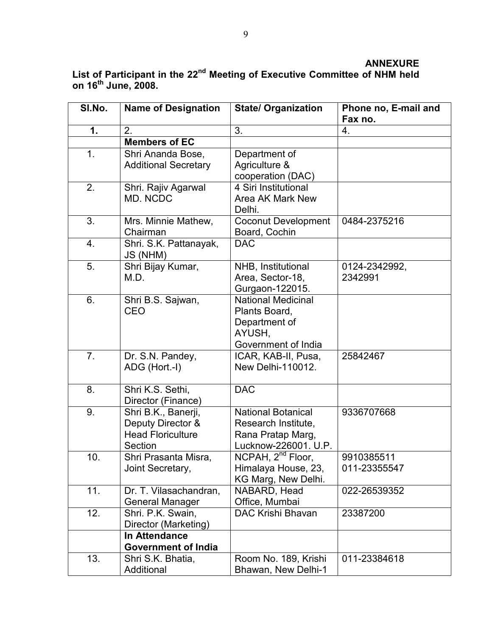# ANNEXURE List of Participant in the 22<sup>nd</sup> Meeting of Executive Committee of NHM held on 16<sup>th</sup> June, 2008.

| SI.No. | <b>Name of Designation</b>            | <b>State/ Organization</b>                 | Phone no, E-mail and<br>Fax no. |
|--------|---------------------------------------|--------------------------------------------|---------------------------------|
| 1.     | 2.                                    | 3.                                         | 4.                              |
|        | <b>Members of EC</b>                  |                                            |                                 |
| 1.     | Shri Ananda Bose,                     | Department of                              |                                 |
|        | <b>Additional Secretary</b>           | Agriculture &                              |                                 |
|        |                                       | cooperation (DAC)                          |                                 |
| 2.     | Shri. Rajiv Agarwal                   | 4 Siri Institutional                       |                                 |
|        | MD. NCDC                              | <b>Area AK Mark New</b>                    |                                 |
|        |                                       | Delhi.                                     |                                 |
| 3.     | Mrs. Minnie Mathew,                   | <b>Coconut Development</b>                 | 0484-2375216                    |
|        | Chairman                              | Board, Cochin                              |                                 |
| 4.     | Shri. S.K. Pattanayak,<br>JS (NHM)    | <b>DAC</b>                                 |                                 |
| 5.     | Shri Bijay Kumar,                     | NHB, Institutional                         | 0124-2342992,                   |
|        | M.D.                                  | Area, Sector-18,                           | 2342991                         |
|        |                                       | Gurgaon-122015.                            |                                 |
| 6.     | Shri B.S. Sajwan,                     | <b>National Medicinal</b>                  |                                 |
|        | CEO                                   | Plants Board,                              |                                 |
|        |                                       | Department of                              |                                 |
|        |                                       | AYUSH,                                     |                                 |
|        |                                       | Government of India                        |                                 |
| 7.     | Dr. S.N. Pandey,                      | ICAR, KAB-II, Pusa,<br>New Delhi-110012.   | 25842467                        |
|        | ADG (Hort.-I)                         |                                            |                                 |
| 8.     | Shri K.S. Sethi,                      | <b>DAC</b>                                 |                                 |
|        | Director (Finance)                    |                                            |                                 |
| 9.     | Shri B.K., Banerji,                   | <b>National Botanical</b>                  | 9336707668                      |
|        | Deputy Director &                     | Research Institute,                        |                                 |
|        | <b>Head Floriculture</b>              | Rana Pratap Marg,                          |                                 |
|        | Section                               | Lucknow-226001. U.P.                       |                                 |
| 10.    | Shri Prasanta Misra,                  | NCPAH, 2 <sup>nd</sup> Floor,              | 9910385511                      |
|        | Joint Secretary,                      | Himalaya House, 23,                        | 011-23355547                    |
|        |                                       | KG Marg, New Delhi.                        |                                 |
| 11.    | Dr. T. Vilasachandran,                | NABARD, Head                               | 022-26539352                    |
| 12.    | <b>General Manager</b>                | Office, Mumbai<br><b>DAC Krishi Bhavan</b> |                                 |
|        | Shri. P.K. Swain,                     |                                            | 23387200                        |
|        | Director (Marketing)<br>In Attendance |                                            |                                 |
|        |                                       |                                            |                                 |
|        | <b>Government of India</b>            |                                            |                                 |
| 13.    | Shri S.K. Bhatia,                     | Room No. 189, Krishi                       | 011-23384618                    |
|        | Additional                            | Bhawan, New Delhi-1                        |                                 |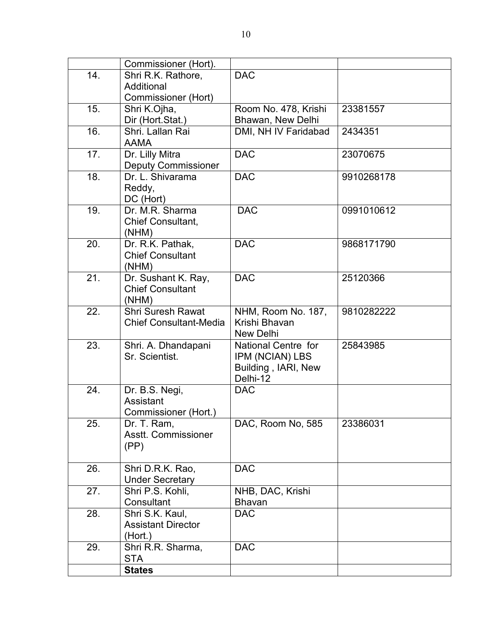|     | Commissioner (Hort).          |                      |            |
|-----|-------------------------------|----------------------|------------|
| 14. | Shri R.K. Rathore,            | <b>DAC</b>           |            |
|     | Additional                    |                      |            |
|     | Commissioner (Hort)           |                      |            |
| 15. | Shri K.Ojha,                  | Room No. 478, Krishi | 23381557   |
|     | Dir (Hort.Stat.)              | Bhawan, New Delhi    |            |
| 16. | Shri. Lallan Rai              | DMI, NH IV Faridabad | 2434351    |
|     | <b>AAMA</b>                   |                      |            |
| 17. | Dr. Lilly Mitra               | <b>DAC</b>           | 23070675   |
|     | <b>Deputy Commissioner</b>    |                      |            |
| 18. | Dr. L. Shivarama              | <b>DAC</b>           | 9910268178 |
|     | Reddy,                        |                      |            |
|     | DC (Hort)                     |                      |            |
| 19. | Dr. M.R. Sharma               | <b>DAC</b>           | 0991010612 |
|     | Chief Consultant,             |                      |            |
|     | (NHM)                         |                      |            |
| 20. | Dr. R.K. Pathak,              | <b>DAC</b>           | 9868171790 |
|     | <b>Chief Consultant</b>       |                      |            |
|     | (NHM)                         |                      |            |
| 21. | Dr. Sushant K. Ray,           | <b>DAC</b>           | 25120366   |
|     | <b>Chief Consultant</b>       |                      |            |
|     | (NHM)                         |                      |            |
| 22. | <b>Shri Suresh Rawat</b>      | NHM, Room No. 187,   | 9810282222 |
|     | <b>Chief Consultant-Media</b> | Krishi Bhavan        |            |
|     |                               | New Delhi            |            |
| 23. | Shri. A. Dhandapani           | National Centre for  | 25843985   |
|     | Sr. Scientist.                | IPM (NCIAN) LBS      |            |
|     |                               | Building, IARI, New  |            |
|     |                               | Delhi-12             |            |
| 24. | Dr. B.S. Negi,                | <b>DAC</b>           |            |
|     | Assistant                     |                      |            |
|     | Commissioner (Hort.)          |                      |            |
| 25. | Dr. T. Ram,                   | DAC, Room No, 585    | 23386031   |
|     | Asstt. Commissioner           |                      |            |
|     | (PP)                          |                      |            |
|     |                               |                      |            |
| 26. | Shri D.R.K. Rao,              | <b>DAC</b>           |            |
|     | <b>Under Secretary</b>        |                      |            |
| 27. | Shri P.S. Kohli,              | NHB, DAC, Krishi     |            |
|     | Consultant                    | <b>Bhavan</b>        |            |
| 28. | Shri S.K. Kaul,               | <b>DAC</b>           |            |
|     | <b>Assistant Director</b>     |                      |            |
|     | (Hort.)                       |                      |            |
| 29. | Shri R.R. Sharma,             | <b>DAC</b>           |            |
|     | <b>STA</b>                    |                      |            |
|     | <b>States</b>                 |                      |            |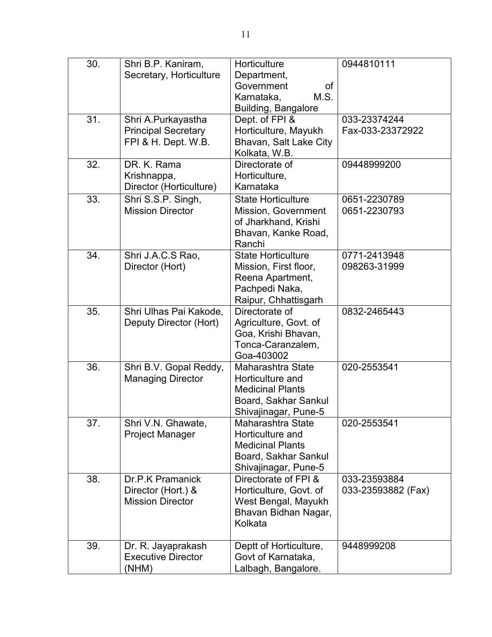| 30. | Shri B.P. Kaniram,<br>Secretary, Horticulture                           | Horticulture<br>Department,<br>Government<br>οf<br>M.S.<br>Karnataka,<br>Building, Bangalore                     | 0944810111                         |
|-----|-------------------------------------------------------------------------|------------------------------------------------------------------------------------------------------------------|------------------------------------|
| 31. | Shri A.Purkayastha<br><b>Principal Secretary</b><br>FPI & H. Dept. W.B. | Dept. of FPI &<br>Horticulture, Mayukh<br>Bhavan, Salt Lake City<br>Kolkata, W.B.                                | 033-23374244<br>Fax-033-23372922   |
| 32. | DR. K. Rama<br>Krishnappa,<br>Director (Horticulture)                   | Directorate of<br>Horticulture,<br>Karnataka                                                                     | 09448999200                        |
| 33. | Shri S.S.P. Singh,<br><b>Mission Director</b>                           | <b>State Horticulture</b><br>Mission, Government<br>of Jharkhand, Krishi<br>Bhavan, Kanke Road,<br>Ranchi        | 0651-2230789<br>0651-2230793       |
| 34. | Shri J.A.C.S Rao,<br>Director (Hort)                                    | <b>State Horticulture</b><br>Mission, First floor,<br>Reena Apartment,<br>Pachpedi Naka,<br>Raipur, Chhattisgarh | 0771-2413948<br>098263-31999       |
| 35. | Shri Ulhas Pai Kakode,<br>Deputy Director (Hort)                        | Directorate of<br>Agriculture, Govt. of<br>Goa, Krishi Bhavan,<br>Tonca-Caranzalem,<br>Goa-403002                | 0832-2465443                       |
| 36. | Shri B.V. Gopal Reddy,<br><b>Managing Director</b>                      | Maharashtra State<br>Horticulture and<br><b>Medicinal Plants</b><br>Board, Sakhar Sankul<br>Shivajinagar, Pune-5 | 020-2553541                        |
| 37. | Shri V.N. Ghawate,<br><b>Project Manager</b>                            | Maharashtra State<br>Horticulture and<br><b>Medicinal Plants</b><br>Board, Sakhar Sankul<br>Shivajinagar, Pune-5 | 020-2553541                        |
| 38. | Dr.P.K Pramanick<br>Director (Hort.) &<br><b>Mission Director</b>       | Directorate of FPI &<br>Horticulture, Govt. of<br>West Bengal, Mayukh<br>Bhavan Bidhan Nagar,<br>Kolkata         | 033-23593884<br>033-23593882 (Fax) |
| 39. | Dr. R. Jayaprakash<br><b>Executive Director</b><br>(NHM)                | Deptt of Horticulture,<br>Govt of Karnataka,<br>Lalbagh, Bangalore.                                              | 9448999208                         |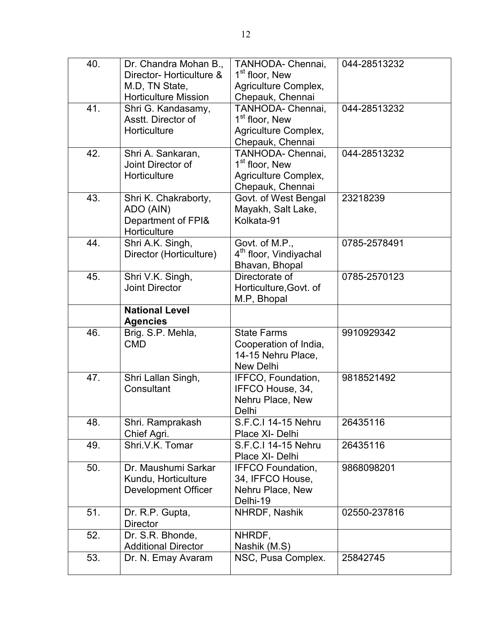| 40. | Dr. Chandra Mohan B.,<br>Director- Horticulture &<br>M.D, TN State,<br><b>Horticulture Mission</b> | TANHODA- Chennai,<br>1 <sup>st</sup> floor, New<br>Agriculture Complex,<br>Chepauk, Chennai | 044-28513232 |
|-----|----------------------------------------------------------------------------------------------------|---------------------------------------------------------------------------------------------|--------------|
| 41. | Shri G. Kandasamy,<br>Asstt. Director of<br>Horticulture                                           | TANHODA- Chennai,<br>1 <sup>st</sup> floor, New<br>Agriculture Complex,<br>Chepauk, Chennai | 044-28513232 |
| 42. | Shri A. Sankaran,<br>Joint Director of<br>Horticulture                                             | TANHODA- Chennai,<br>1 <sup>st</sup> floor, New<br>Agriculture Complex,<br>Chepauk, Chennai | 044-28513232 |
| 43. | Shri K. Chakraborty,<br>ADO (AIN)<br>Department of FPI&<br>Horticulture                            | Govt. of West Bengal<br>Mayakh, Salt Lake,<br>Kolkata-91                                    | 23218239     |
| 44. | Shri A.K. Singh,<br>Director (Horticulture)                                                        | Govt. of M.P.,<br>4 <sup>th</sup> floor, Vindiyachal<br>Bhavan, Bhopal                      | 0785-2578491 |
| 45. | Shri V.K. Singh,<br>Joint Director                                                                 | Directorate of<br>Horticulture, Govt. of<br>M.P, Bhopal                                     | 0785-2570123 |
|     | <b>National Level</b><br><b>Agencies</b>                                                           |                                                                                             |              |
| 46. | Brig. S.P. Mehla,<br><b>CMD</b>                                                                    | <b>State Farms</b><br>Cooperation of India,<br>14-15 Nehru Place,<br><b>New Delhi</b>       | 9910929342   |
| 47. | Shri Lallan Singh,<br>Consultant                                                                   | IFFCO, Foundation,<br>IFFCO House, 34,<br>Nehru Place, New<br>Delhi                         | 9818521492   |
| 48. | Shri. Ramprakash<br>Chief Agri.                                                                    | S.F.C.I 14-15 Nehru<br>Place XI- Delhi                                                      | 26435116     |
| 49. | Shri.V.K. Tomar                                                                                    | S.F.C.I 14-15 Nehru<br>Place XI- Delhi                                                      | 26435116     |
| 50. | Dr. Maushumi Sarkar<br>Kundu, Horticulture<br>Development Officer                                  | <b>IFFCO Foundation,</b><br>34, IFFCO House,<br>Nehru Place, New<br>Delhi-19                | 9868098201   |
| 51. | Dr. R.P. Gupta,<br><b>Director</b>                                                                 | NHRDF, Nashik                                                                               | 02550-237816 |
| 52. | Dr. S.R. Bhonde,<br><b>Additional Director</b>                                                     | NHRDF,<br>Nashik (M.S)                                                                      |              |
| 53. | Dr. N. Emay Avaram                                                                                 | NSC, Pusa Complex.                                                                          | 25842745     |